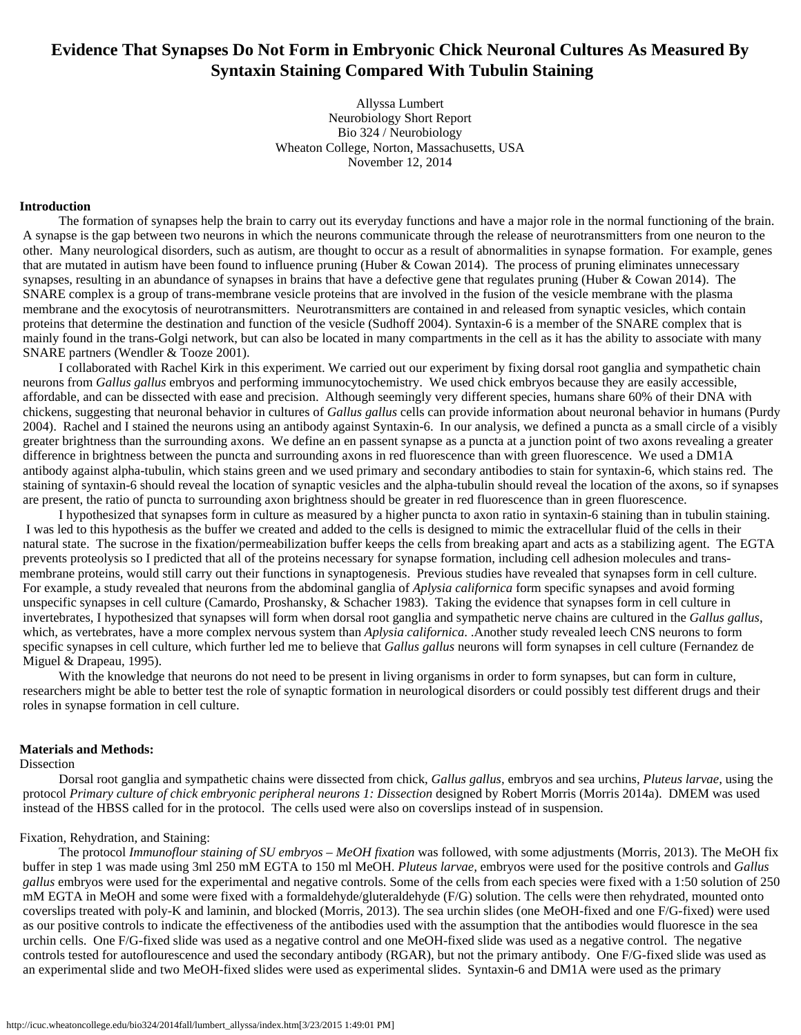# **Evidence That Synapses Do Not Form in Embryonic Chick Neuronal Cultures As Measured By Syntaxin Staining Compared With Tubulin Staining**

Allyssa Lumbert Neurobiology Short Report Bio 324 / Neurobiology Wheaton College, Norton, Massachusetts, USA November 12, 2014

#### **Introduction**

 The formation of synapses help the brain to carry out its everyday functions and have a major role in the normal functioning of the brain. A synapse is the gap between two neurons in which the neurons communicate through the release of neurotransmitters from one neuron to the other. Many neurological disorders, such as autism, are thought to occur as a result of abnormalities in synapse formation. For example, genes that are mutated in autism have been found to influence pruning (Huber & Cowan 2014). The process of pruning eliminates unnecessary synapses, resulting in an abundance of synapses in brains that have a defective gene that regulates pruning (Huber & Cowan 2014). The SNARE complex is a group of trans-membrane vesicle proteins that are involved in the fusion of the vesicle membrane with the plasma membrane and the exocytosis of neurotransmitters. Neurotransmitters are contained in and released from synaptic vesicles, which contain proteins that determine the destination and function of the vesicle (Sudhoff 2004). Syntaxin-6 is a member of the SNARE complex that is mainly found in the trans-Golgi network, but can also be located in many compartments in the cell as it has the ability to associate with many SNARE partners (Wendler & Tooze 2001).

 I collaborated with Rachel Kirk in this experiment. We carried out our experiment by fixing dorsal root ganglia and sympathetic chain neurons from *Gallus gallus* embryos and performing immunocytochemistry. We used chick embryos because they are easily accessible, affordable, and can be dissected with ease and precision. Although seemingly very different species, humans share 60% of their DNA with chickens, suggesting that neuronal behavior in cultures of *Gallus gallus* cells can provide information about neuronal behavior in humans (Purdy 2004). Rachel and I stained the neurons using an antibody against Syntaxin-6. In our analysis, we defined a puncta as a small circle of a visibly greater brightness than the surrounding axons. We define an en passent synapse as a puncta at a junction point of two axons revealing a greater difference in brightness between the puncta and surrounding axons in red fluorescence than with green fluorescence. We used a DM1A antibody against alpha-tubulin, which stains green and we used primary and secondary antibodies to stain for syntaxin-6, which stains red. The staining of syntaxin-6 should reveal the location of synaptic vesicles and the alpha-tubulin should reveal the location of the axons, so if synapses are present, the ratio of puncta to surrounding axon brightness should be greater in red fluorescence than in green fluorescence.

 I hypothesized that synapses form in culture as measured by a higher puncta to axon ratio in syntaxin-6 staining than in tubulin staining. I was led to this hypothesis as the buffer we created and added to the cells is designed to mimic the extracellular fluid of the cells in their natural state. The sucrose in the fixation/permeabilization buffer keeps the cells from breaking apart and acts as a stabilizing agent. The EGTA prevents proteolysis so I predicted that all of the proteins necessary for synapse formation, including cell adhesion molecules and transmembrane proteins, would still carry out their functions in synaptogenesis. Previous studies have revealed that synapses form in cell culture. For example, a study revealed that neurons from the abdominal ganglia of *Aplysia californica* form specific synapses and avoid forming unspecific synapses in cell culture (Camardo, Proshansky, & Schacher 1983). Taking the evidence that synapses form in cell culture in invertebrates, I hypothesized that synapses will form when dorsal root ganglia and sympathetic nerve chains are cultured in the *Gallus gallus*, which, as vertebrates, have a more complex nervous system than *Aplysia californica*. .Another study revealed leech CNS neurons to form specific synapses in cell culture, which further led me to believe that *Gallus gallus* neurons will form synapses in cell culture (Fernandez de Miguel & Drapeau, 1995).

With the knowledge that neurons do not need to be present in living organisms in order to form synapses, but can form in culture, researchers might be able to better test the role of synaptic formation in neurological disorders or could possibly test different drugs and their roles in synapse formation in cell culture.

## **Materials and Methods:**

Dissection

 Dorsal root ganglia and sympathetic chains were dissected from chick, *Gallus gallus,* embryos and sea urchins, *Pluteus larvae*, using the protocol *Primary culture of chick embryonic peripheral neurons 1: Dissection* designed by Robert Morris (Morris 2014a). DMEM was used instead of the HBSS called for in the protocol. The cells used were also on coverslips instead of in suspension.

#### Fixation, Rehydration, and Staining:

 The protocol *Immunoflour staining of SU embryos – MeOH fixation* was followed, with some adjustments (Morris, 2013). The MeOH fix buffer in step 1 was made using 3ml 250 mM EGTA to 150 ml MeOH. *Pluteus larvae,* embryos were used for the positive controls and *Gallus gallus* embryos were used for the experimental and negative controls. Some of the cells from each species were fixed with a 1:50 solution of 250 mM EGTA in MeOH and some were fixed with a formaldehyde/gluteraldehyde (F/G) solution. The cells were then rehydrated, mounted onto coverslips treated with poly-K and laminin, and blocked (Morris, 2013). The sea urchin slides (one MeOH-fixed and one F/G-fixed) were used as our positive controls to indicate the effectiveness of the antibodies used with the assumption that the antibodies would fluoresce in the sea urchin cells. One F/G-fixed slide was used as a negative control and one MeOH-fixed slide was used as a negative control. The negative controls tested for autoflourescence and used the secondary antibody (RGAR), but not the primary antibody. One F/G-fixed slide was used as an experimental slide and two MeOH-fixed slides were used as experimental slides. Syntaxin-6 and DM1A were used as the primary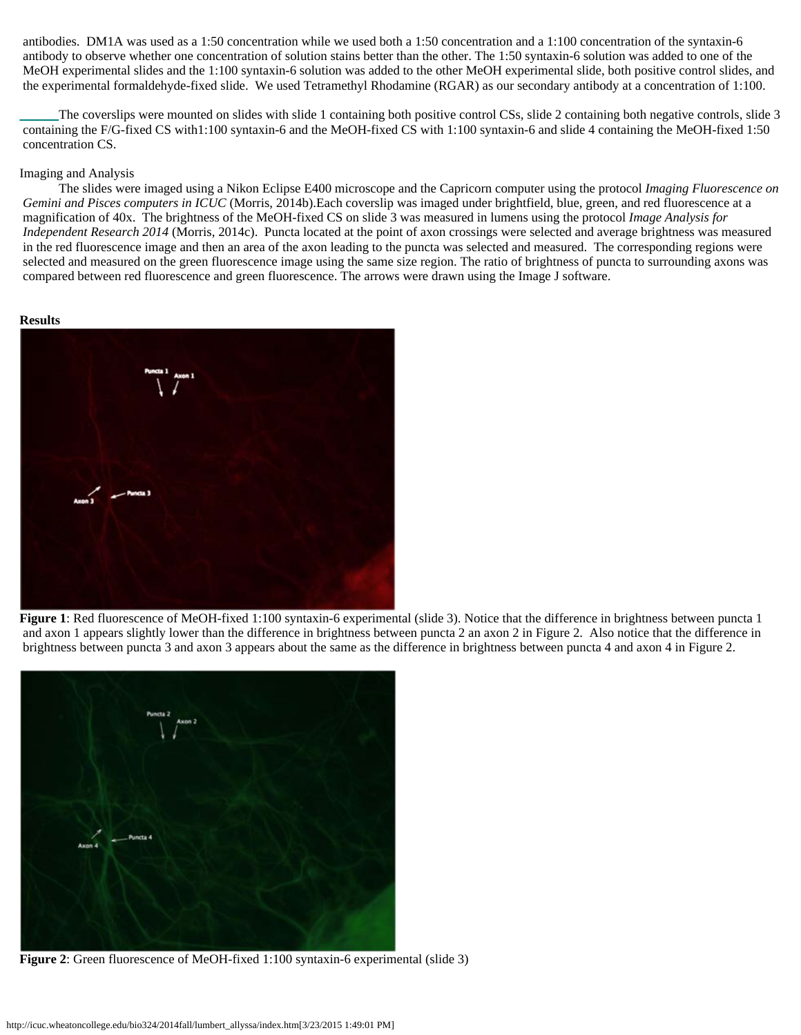antibodies. DM1A was used as a 1:50 concentration while we used both a 1:50 concentration and a 1:100 concentration of the syntaxin-6 antibody to observe whether one concentration of solution stains better than the other. The 1:50 syntaxin-6 solution was added to one of the MeOH experimental slides and the 1:100 syntaxin-6 solution was added to the other MeOH experimental slide, both positive control slides, and the experimental formaldehyde-fixed slide. We used Tetramethyl Rhodamine (RGAR) as our secondary antibody at a concentration of 1:100.

 The coverslips were mounted on slides with slide 1 containing both positive control CSs, slide 2 containing both negative controls, slide 3 containing the F/G-fixed CS with1:100 syntaxin-6 and the MeOH-fixed CS with 1:100 syntaxin-6 and slide 4 containing the MeOH-fixed 1:50 concentration CS.

## Imaging and Analysis

 The slides were imaged using a Nikon Eclipse E400 microscope and the Capricorn computer using the protocol *Imaging Fluorescence on Gemini and Pisces computers in ICUC* (Morris, 2014b).Each coverslip was imaged under brightfield, blue, green, and red fluorescence at a magnification of 40x. The brightness of the MeOH-fixed CS on slide 3 was measured in lumens using the protocol *Image Analysis for Independent Research 2014* (Morris, 2014c). Puncta located at the point of axon crossings were selected and average brightness was measured in the red fluorescence image and then an area of the axon leading to the puncta was selected and measured. The corresponding regions were selected and measured on the green fluorescence image using the same size region. The ratio of brightness of puncta to surrounding axons was compared between red fluorescence and green fluorescence. The arrows were drawn using the Image J software.

## **Results**



**Figure 1**: Red fluorescence of MeOH-fixed 1:100 syntaxin-6 experimental (slide 3). Notice that the difference in brightness between puncta 1 and axon 1 appears slightly lower than the difference in brightness between puncta 2 an axon 2 in Figure 2. Also notice that the difference in brightness between puncta 3 and axon 3 appears about the same as the difference in brightness between puncta 4 and axon 4 in Figure 2.



**Figure 2**: Green fluorescence of MeOH-fixed 1:100 syntaxin-6 experimental (slide 3)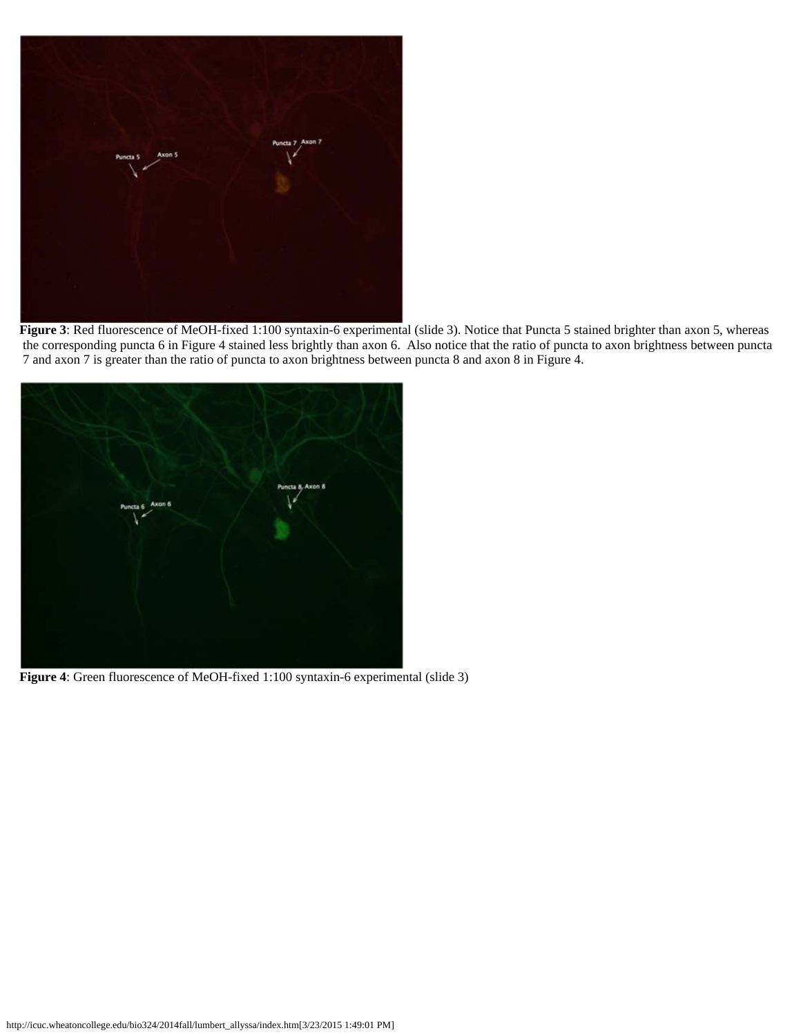

**Figure 3**: Red fluorescence of MeOH-fixed 1:100 syntaxin-6 experimental (slide 3). Notice that Puncta 5 stained brighter than axon 5, whereas the corresponding puncta 6 in Figure 4 stained less brightly than axon 6. Also notice that the ratio of puncta to axon brightness between puncta 7 and axon 7 is greater than the ratio of puncta to axon brightness between puncta 8 and axon 8 in Figure 4.



**Figure 4**: Green fluorescence of MeOH-fixed 1:100 syntaxin-6 experimental (slide 3)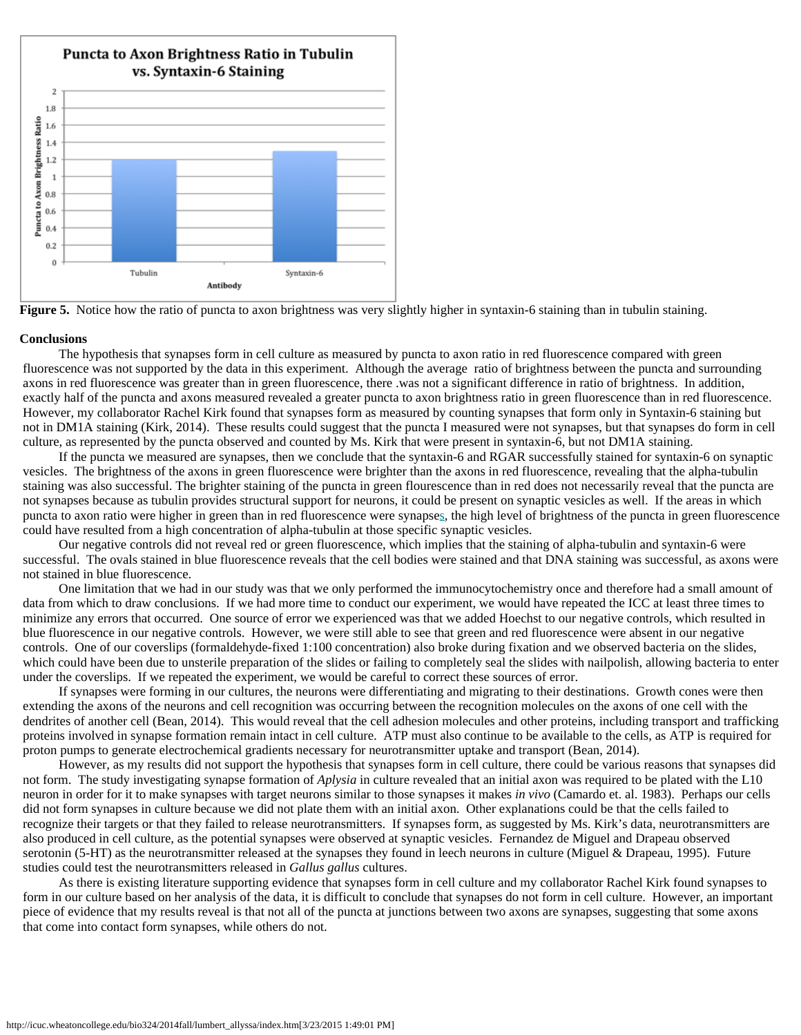

**Figure 5.** Notice how the ratio of puncta to axon brightness was very slightly higher in syntaxin-6 staining than in tubulin staining.

#### **Conclusions**

 The hypothesis that synapses form in cell culture as measured by puncta to axon ratio in red fluorescence compared with green fluorescence was not supported by the data in this experiment. Although the average ratio of brightness between the puncta and surrounding axons in red fluorescence was greater than in green fluorescence, there .was not a significant difference in ratio of brightness. In addition, exactly half of the puncta and axons measured revealed a greater puncta to axon brightness ratio in green fluorescence than in red fluorescence. However, my collaborator Rachel Kirk found that synapses form as measured by counting synapses that form only in Syntaxin-6 staining but not in DM1A staining (Kirk, 2014). These results could suggest that the puncta I measured were not synapses, but that synapses do form in cell culture, as represented by the puncta observed and counted by Ms. Kirk that were present in syntaxin-6, but not DM1A staining.

 If the puncta we measured are synapses, then we conclude that the syntaxin-6 and RGAR successfully stained for syntaxin-6 on synaptic vesicles. The brightness of the axons in green fluorescence were brighter than the axons in red fluorescence, revealing that the alpha-tubulin staining was also successful. The brighter staining of the puncta in green flourescence than in red does not necessarily reveal that the puncta are not synapses because as tubulin provides structural support for neurons, it could be present on synaptic vesicles as well. If the areas in which puncta to axon ratio were higher in green than in red fluorescence were synapses, the high level of brightness of the puncta in green fluorescence could have resulted from a high concentration of alpha-tubulin at those specific synaptic vesicles.

 Our negative controls did not reveal red or green fluorescence, which implies that the staining of alpha-tubulin and syntaxin-6 were successful. The ovals stained in blue fluorescence reveals that the cell bodies were stained and that DNA staining was successful, as axons were not stained in blue fluorescence.

 One limitation that we had in our study was that we only performed the immunocytochemistry once and therefore had a small amount of data from which to draw conclusions. If we had more time to conduct our experiment, we would have repeated the ICC at least three times to minimize any errors that occurred. One source of error we experienced was that we added Hoechst to our negative controls, which resulted in blue fluorescence in our negative controls. However, we were still able to see that green and red fluorescence were absent in our negative controls. One of our coverslips (formaldehyde-fixed 1:100 concentration) also broke during fixation and we observed bacteria on the slides, which could have been due to unsterile preparation of the slides or failing to completely seal the slides with nailpolish, allowing bacteria to enter under the coverslips. If we repeated the experiment, we would be careful to correct these sources of error.

 If synapses were forming in our cultures, the neurons were differentiating and migrating to their destinations. Growth cones were then extending the axons of the neurons and cell recognition was occurring between the recognition molecules on the axons of one cell with the dendrites of another cell (Bean, 2014). This would reveal that the cell adhesion molecules and other proteins, including transport and trafficking proteins involved in synapse formation remain intact in cell culture. ATP must also continue to be available to the cells, as ATP is required for proton pumps to generate electrochemical gradients necessary for neurotransmitter uptake and transport (Bean, 2014).

 However, as my results did not support the hypothesis that synapses form in cell culture, there could be various reasons that synapses did not form. The study investigating synapse formation of *Aplysia* in culture revealed that an initial axon was required to be plated with the L10 neuron in order for it to make synapses with target neurons similar to those synapses it makes *in vivo* (Camardo et. al. 1983). Perhaps our cells did not form synapses in culture because we did not plate them with an initial axon. Other explanations could be that the cells failed to recognize their targets or that they failed to release neurotransmitters. If synapses form, as suggested by Ms. Kirk's data, neurotransmitters are also produced in cell culture, as the potential synapses were observed at synaptic vesicles. Fernandez de Miguel and Drapeau observed serotonin (5-HT) as the neurotransmitter released at the synapses they found in leech neurons in culture (Miguel & Drapeau, 1995). Future studies could test the neurotransmitters released in *Gallus gallus* cultures.

 As there is existing literature supporting evidence that synapses form in cell culture and my collaborator Rachel Kirk found synapses to form in our culture based on her analysis of the data, it is difficult to conclude that synapses do not form in cell culture. However, an important piece of evidence that my results reveal is that not all of the puncta at junctions between two axons are synapses, suggesting that some axons that come into contact form synapses, while others do not.